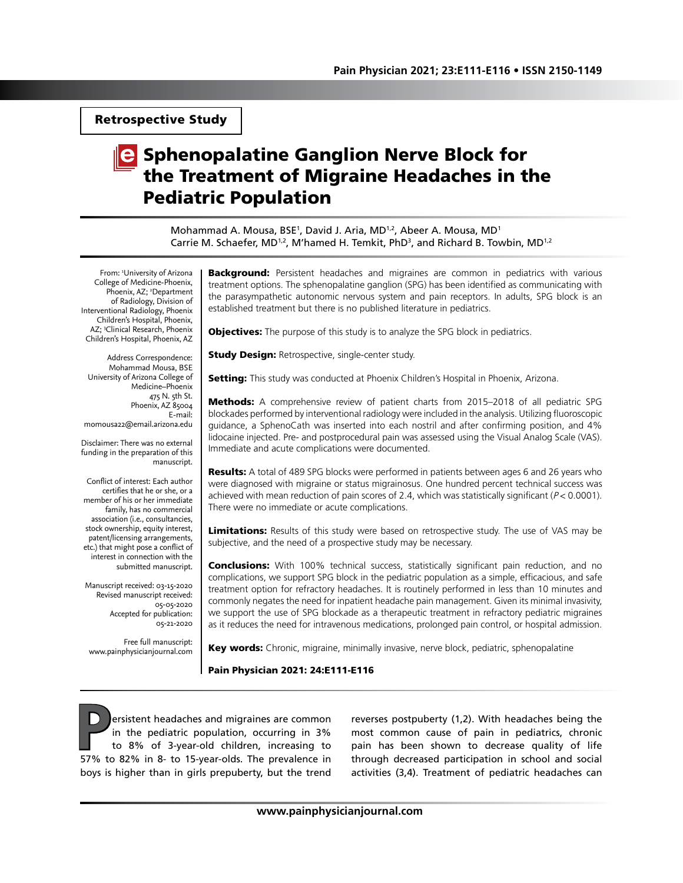Retrospective Study

# **C** Sphenopalatine Ganglion Nerve Block for the Treatment of Migraine Headaches in the Pediatric Population

Mohammad A. Mousa, BSE<sup>1</sup>, David J. Aria, MD<sup>1,2</sup>, Abeer A. Mousa, MD<sup>1</sup> Carrie M. Schaefer, MD<sup>1,2</sup>, M'hamed H. Temkit, PhD<sup>3</sup>, and Richard B. Towbin, MD<sup>1,2</sup>

From: 1 University of Arizona College of Medicine-Phoenix, Phoenix, AZ; <sup>2</sup>Department of Radiology, Division of Interventional Radiology, Phoenix Children's Hospital, Phoenix, AZ; 3 Clinical Research, Phoenix Children's Hospital, Phoenix, AZ

Address Correspondence: Mohammad Mousa, BSE University of Arizona College of Medicine–Phoenix 475 N. 5th St. Phoenix, AZ 85004 E-mail: momousa22@email.arizona.edu

Disclaimer: There was no external funding in the preparation of this manuscript.

Conflict of interest: Each author certifies that he or she, or a member of his or her immediate family, has no commercial association (i.e., consultancies, stock ownership, equity interest, patent/licensing arrangements, etc.) that might pose a conflict of interest in connection with the submitted manuscript.

Manuscript received: 03-15-2020 Revised manuscript received: 05-05-2020 Accepted for publication: 05-21-2020

Free full manuscript: www.painphysicianjournal.com **Background:** Persistent headaches and migraines are common in pediatrics with various treatment options. The sphenopalatine ganglion (SPG) has been identified as communicating with the parasympathetic autonomic nervous system and pain receptors. In adults, SPG block is an established treatment but there is no published literature in pediatrics.

**Objectives:** The purpose of this study is to analyze the SPG block in pediatrics.

**Study Design: Retrospective, single-center study.** 

Setting: This study was conducted at Phoenix Children's Hospital in Phoenix, Arizona.

**Methods:** A comprehensive review of patient charts from 2015–2018 of all pediatric SPG blockades performed by interventional radiology were included in the analysis. Utilizing fluoroscopic guidance, a SphenoCath was inserted into each nostril and after confirming position, and 4% lidocaine injected. Pre- and postprocedural pain was assessed using the Visual Analog Scale (VAS). Immediate and acute complications were documented.

**Results:** A total of 489 SPG blocks were performed in patients between ages 6 and 26 years who were diagnosed with migraine or status migrainosus. One hundred percent technical success was achieved with mean reduction of pain scores of 2.4, which was statistically significant ( $P < 0.0001$ ). There were no immediate or acute complications.

Limitations: Results of this study were based on retrospective study. The use of VAS may be subjective, and the need of a prospective study may be necessary.

**Conclusions:** With 100% technical success, statistically significant pain reduction, and no complications, we support SPG block in the pediatric population as a simple, efficacious, and safe treatment option for refractory headaches. It is routinely performed in less than 10 minutes and commonly negates the need for inpatient headache pain management. Given its minimal invasivity, we support the use of SPG blockade as a therapeutic treatment in refractory pediatric migraines as it reduces the need for intravenous medications, prolonged pain control, or hospital admission.

Key words: Chronic, migraine, minimally invasive, nerve block, pediatric, sphenopalatine

#### Pain Physician 2021: 24:E111-E116

**P**ersistent headaches and migraines are common in the pediatric population, occurring in 3% to 8% of 3-year-old children, increasing to 57% to 82% in 8- to 15-year-olds. The prevalence in boys is higher than in girls prepuberty, but the trend

reverses postpuberty (1,2). With headaches being the most common cause of pain in pediatrics, chronic pain has been shown to decrease quality of life through decreased participation in school and social activities (3,4). Treatment of pediatric headaches can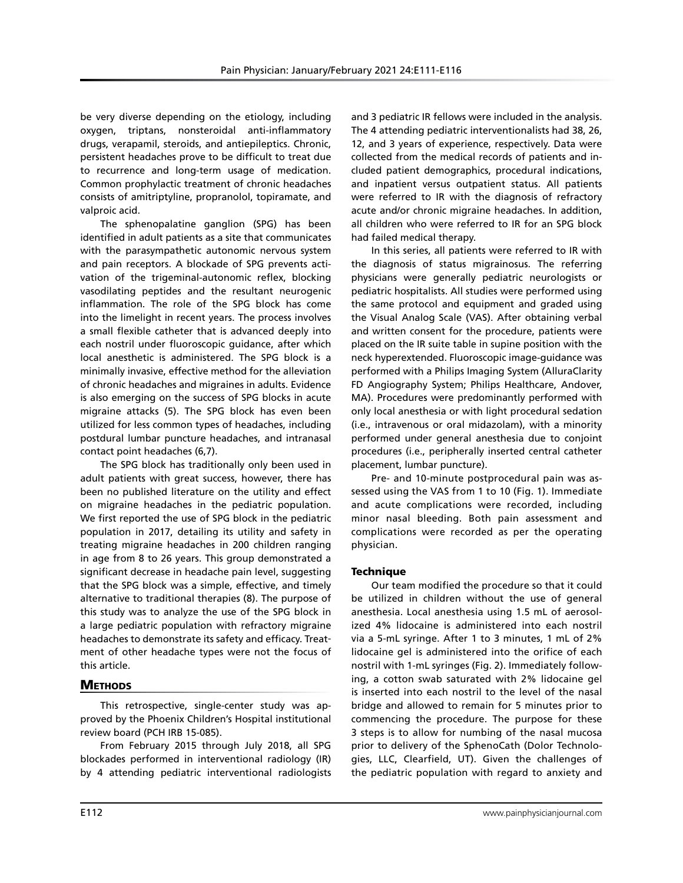be very diverse depending on the etiology, including oxygen, triptans, nonsteroidal anti-inflammatory drugs, verapamil, steroids, and antiepileptics. Chronic, persistent headaches prove to be difficult to treat due to recurrence and long-term usage of medication. Common prophylactic treatment of chronic headaches consists of amitriptyline, propranolol, topiramate, and valproic acid.

The sphenopalatine ganglion (SPG) has been identified in adult patients as a site that communicates with the parasympathetic autonomic nervous system and pain receptors. A blockade of SPG prevents activation of the trigeminal-autonomic reflex, blocking vasodilating peptides and the resultant neurogenic inflammation. The role of the SPG block has come into the limelight in recent years. The process involves a small flexible catheter that is advanced deeply into each nostril under fluoroscopic guidance, after which local anesthetic is administered. The SPG block is a minimally invasive, effective method for the alleviation of chronic headaches and migraines in adults. Evidence is also emerging on the success of SPG blocks in acute migraine attacks (5). The SPG block has even been utilized for less common types of headaches, including postdural lumbar puncture headaches, and intranasal contact point headaches (6,7).

The SPG block has traditionally only been used in adult patients with great success, however, there has been no published literature on the utility and effect on migraine headaches in the pediatric population. We first reported the use of SPG block in the pediatric population in 2017, detailing its utility and safety in treating migraine headaches in 200 children ranging in age from 8 to 26 years. This group demonstrated a significant decrease in headache pain level, suggesting that the SPG block was a simple, effective, and timely alternative to traditional therapies (8). The purpose of this study was to analyze the use of the SPG block in a large pediatric population with refractory migraine headaches to demonstrate its safety and efficacy. Treatment of other headache types were not the focus of this article.

# **METHODS**

This retrospective, single-center study was approved by the Phoenix Children's Hospital institutional review board (PCH IRB 15-085).

From February 2015 through July 2018, all SPG blockades performed in interventional radiology (IR) by 4 attending pediatric interventional radiologists and 3 pediatric IR fellows were included in the analysis. The 4 attending pediatric interventionalists had 38, 26, 12, and 3 years of experience, respectively. Data were collected from the medical records of patients and included patient demographics, procedural indications, and inpatient versus outpatient status. All patients were referred to IR with the diagnosis of refractory acute and/or chronic migraine headaches. In addition, all children who were referred to IR for an SPG block had failed medical therapy.

In this series, all patients were referred to IR with the diagnosis of status migrainosus. The referring physicians were generally pediatric neurologists or pediatric hospitalists. All studies were performed using the same protocol and equipment and graded using the Visual Analog Scale (VAS). After obtaining verbal and written consent for the procedure, patients were placed on the IR suite table in supine position with the neck hyperextended. Fluoroscopic image-guidance was performed with a Philips Imaging System (AlluraClarity FD Angiography System; Philips Healthcare, Andover, MA). Procedures were predominantly performed with only local anesthesia or with light procedural sedation (i.e., intravenous or oral midazolam), with a minority performed under general anesthesia due to conjoint procedures (i.e., peripherally inserted central catheter placement, lumbar puncture).

Pre- and 10-minute postprocedural pain was assessed using the VAS from 1 to 10 (Fig. 1). Immediate and acute complications were recorded, including minor nasal bleeding. Both pain assessment and complications were recorded as per the operating physician.

## **Technique**

Our team modified the procedure so that it could be utilized in children without the use of general anesthesia. Local anesthesia using 1.5 mL of aerosolized 4% lidocaine is administered into each nostril via a 5-mL syringe. After 1 to 3 minutes, 1 mL of 2% lidocaine gel is administered into the orifice of each nostril with 1-mL syringes (Fig. 2). Immediately following, a cotton swab saturated with 2% lidocaine gel is inserted into each nostril to the level of the nasal bridge and allowed to remain for 5 minutes prior to commencing the procedure. The purpose for these 3 steps is to allow for numbing of the nasal mucosa prior to delivery of the SphenoCath (Dolor Technologies, LLC, Clearfield, UT). Given the challenges of the pediatric population with regard to anxiety and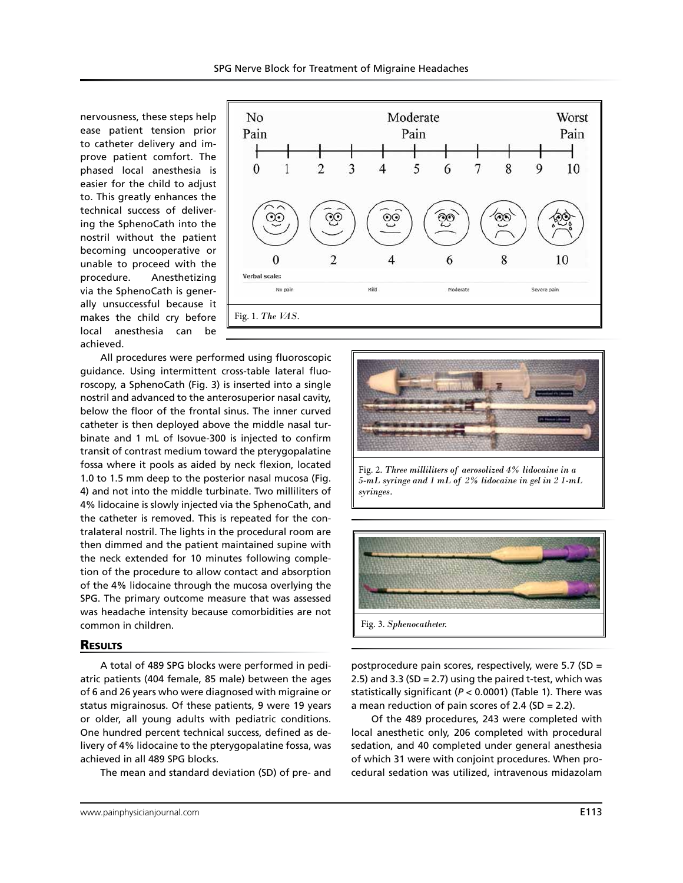No

nervousness, these steps help ease patient tension prior to catheter delivery and improve patient comfort. The phased local anesthesia is easier for the child to adjust to. This greatly enhances the technical success of delivering the SphenoCath into the nostril without the patient becoming uncooperative or unable to proceed with the procedure. Anesthetizing via the SphenoCath is generally unsuccessful because it makes the child cry before local anesthesia can be achieved.



Moderate

All procedures were performed using fluoroscopic guidance. Using intermittent cross-table lateral fluoroscopy, a SphenoCath (Fig. 3) is inserted into a single nostril and advanced to the anterosuperior nasal cavity, below the floor of the frontal sinus. The inner curved catheter is then deployed above the middle nasal turbinate and 1 mL of Isovue-300 is injected to confirm transit of contrast medium toward the pterygopalatine fossa where it pools as aided by neck flexion, located 1.0 to 1.5 mm deep to the posterior nasal mucosa (Fig. 4) and not into the middle turbinate. Two milliliters of 4% lidocaine is slowly injected via the SphenoCath, and the catheter is removed. This is repeated for the contralateral nostril. The lights in the procedural room are then dimmed and the patient maintained supine with the neck extended for 10 minutes following completion of the procedure to allow contact and absorption of the 4% lidocaine through the mucosa overlying the SPG. The primary outcome measure that was assessed was headache intensity because comorbidities are not common in children.

### **RESULTS**

A total of 489 SPG blocks were performed in pediatric patients (404 female, 85 male) between the ages of 6 and 26 years who were diagnosed with migraine or status migrainosus. Of these patients, 9 were 19 years or older, all young adults with pediatric conditions. One hundred percent technical success, defined as delivery of 4% lidocaine to the pterygopalatine fossa, was achieved in all 489 SPG blocks.

The mean and standard deviation (SD) of pre- and

Fig. 2. *Three milliliters of aerosolized 4% lidocaine in a 5-mL syringe and 1 mL of 2% lidocaine in gel in 2 1-mL syringes.* 



postprocedure pain scores, respectively, were 5.7 (SD = 2.5) and 3.3 (SD = 2.7) using the paired t-test, which was statistically significant (*P* < 0.0001) (Table 1). There was a mean reduction of pain scores of 2.4 (SD = 2.2).

Of the 489 procedures, 243 were completed with local anesthetic only, 206 completed with procedural sedation, and 40 completed under general anesthesia of which 31 were with conjoint procedures. When procedural sedation was utilized, intravenous midazolam

Worst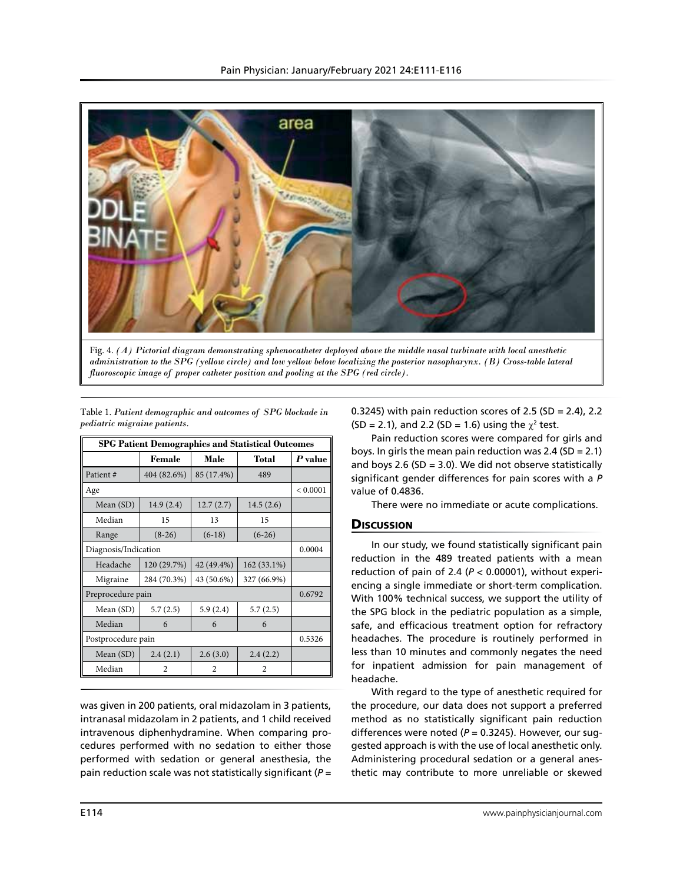

Fig. 4. *(A) Pictorial diagram demonstrating sphenocatheter deployed above the middle nasal turbinate with local anesthetic administration to the SPG (yellow circle) and low yellow below localizing the posterior nasopharynx. (B) Cross-table lateral fluoroscopic image of proper catheter position and pooling at the SPG (red circle).* 

| <b>SPG Patient Demographics and Statistical Outcomes</b> |                |            |                |          |
|----------------------------------------------------------|----------------|------------|----------------|----------|
|                                                          | Female         | Male       | Total          | P value  |
| Patient#                                                 | 404 (82.6%)    | 85 (17.4%) | 489            |          |
| Age                                                      |                |            |                | < 0.0001 |
| Mean $(SD)$                                              | 14.9(2.4)      | 12.7(2.7)  | 14.5(2.6)      |          |
| Median                                                   | 15             | 13         | 15             |          |
| Range                                                    | $(8-26)$       | $(6-18)$   | $(6-26)$       |          |
| Diagnosis/Indication                                     |                |            |                | 0.0004   |
| Headache                                                 | 120 (29.7%)    | 42 (49.4%) | 162 (33.1%)    |          |
| Migraine                                                 | 284 (70.3%)    | 43 (50.6%) | 327 (66.9%)    |          |
| Preprocedure pain                                        |                |            |                | 0.6792   |
| Mean $(SD)$                                              | 5.7(2.5)       | 5.9(2.4)   | 5.7(2.5)       |          |
| Median                                                   | 6              | 6          | 6              |          |
| Postprocedure pain                                       |                |            |                | 0.5326   |
| Mean (SD)                                                | 2.4(2.1)       | 2.6(3.0)   | 2.4(2.2)       |          |
| Median                                                   | $\overline{c}$ | 2          | $\overline{c}$ |          |

Table 1. *Patient demographic and outcomes of SPG blockade in* 

*pediatric migraine patients.*

was given in 200 patients, oral midazolam in 3 patients, intranasal midazolam in 2 patients, and 1 child received intravenous diphenhydramine. When comparing procedures performed with no sedation to either those performed with sedation or general anesthesia, the pain reduction scale was not statistically significant (*P* = 0.3245) with pain reduction scores of 2.5 (SD = 2.4), 2.2  $(SD = 2.1)$ , and 2.2 (SD = 1.6) using the  $\chi^2$  test.

Pain reduction scores were compared for girls and boys. In girls the mean pain reduction was 2.4 (SD = 2.1) and boys 2.6 (SD = 3.0). We did not observe statistically significant gender differences for pain scores with a *P*  value of 0.4836.

There were no immediate or acute complications.

## **Discussion**

In our study, we found statistically significant pain reduction in the 489 treated patients with a mean reduction of pain of 2.4 (*P* < 0.00001), without experiencing a single immediate or short-term complication. With 100% technical success, we support the utility of the SPG block in the pediatric population as a simple, safe, and efficacious treatment option for refractory headaches. The procedure is routinely performed in less than 10 minutes and commonly negates the need for inpatient admission for pain management of headache.

With regard to the type of anesthetic required for the procedure, our data does not support a preferred method as no statistically significant pain reduction differences were noted (*P* = 0.3245). However, our suggested approach is with the use of local anesthetic only. Administering procedural sedation or a general anesthetic may contribute to more unreliable or skewed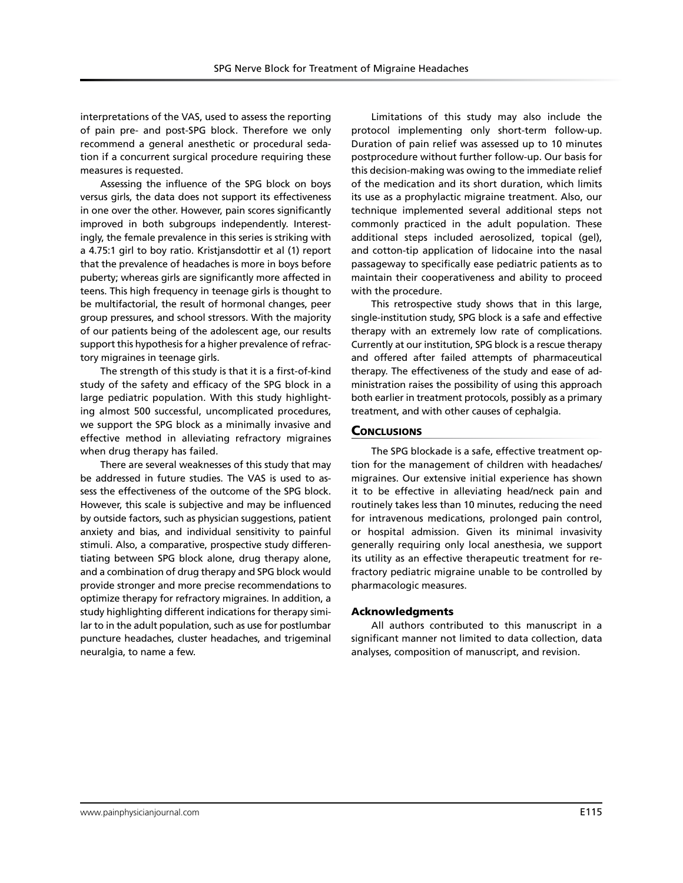interpretations of the VAS, used to assess the reporting of pain pre- and post-SPG block. Therefore we only recommend a general anesthetic or procedural sedation if a concurrent surgical procedure requiring these measures is requested.

Assessing the influence of the SPG block on boys versus girls, the data does not support its effectiveness in one over the other. However, pain scores significantly improved in both subgroups independently. Interestingly, the female prevalence in this series is striking with a 4.75:1 girl to boy ratio. Kristjansdottir et al (1) report that the prevalence of headaches is more in boys before puberty; whereas girls are significantly more affected in teens. This high frequency in teenage girls is thought to be multifactorial, the result of hormonal changes, peer group pressures, and school stressors. With the majority of our patients being of the adolescent age, our results support this hypothesis for a higher prevalence of refractory migraines in teenage girls.

The strength of this study is that it is a first-of-kind study of the safety and efficacy of the SPG block in a large pediatric population. With this study highlighting almost 500 successful, uncomplicated procedures, we support the SPG block as a minimally invasive and effective method in alleviating refractory migraines when drug therapy has failed.

There are several weaknesses of this study that may be addressed in future studies. The VAS is used to assess the effectiveness of the outcome of the SPG block. However, this scale is subjective and may be influenced by outside factors, such as physician suggestions, patient anxiety and bias, and individual sensitivity to painful stimuli. Also, a comparative, prospective study differentiating between SPG block alone, drug therapy alone, and a combination of drug therapy and SPG block would provide stronger and more precise recommendations to optimize therapy for refractory migraines. In addition, a study highlighting different indications for therapy similar to in the adult population, such as use for postlumbar puncture headaches, cluster headaches, and trigeminal neuralgia, to name a few.

Limitations of this study may also include the protocol implementing only short-term follow-up. Duration of pain relief was assessed up to 10 minutes postprocedure without further follow-up. Our basis for this decision-making was owing to the immediate relief of the medication and its short duration, which limits its use as a prophylactic migraine treatment. Also, our technique implemented several additional steps not commonly practiced in the adult population. These additional steps included aerosolized, topical (gel), and cotton-tip application of lidocaine into the nasal passageway to specifically ease pediatric patients as to maintain their cooperativeness and ability to proceed with the procedure.

This retrospective study shows that in this large, single-institution study, SPG block is a safe and effective therapy with an extremely low rate of complications. Currently at our institution, SPG block is a rescue therapy and offered after failed attempts of pharmaceutical therapy. The effectiveness of the study and ease of administration raises the possibility of using this approach both earlier in treatment protocols, possibly as a primary treatment, and with other causes of cephalgia.

## **CONCLUSIONS**

The SPG blockade is a safe, effective treatment option for the management of children with headaches/ migraines. Our extensive initial experience has shown it to be effective in alleviating head/neck pain and routinely takes less than 10 minutes, reducing the need for intravenous medications, prolonged pain control, or hospital admission. Given its minimal invasivity generally requiring only local anesthesia, we support its utility as an effective therapeutic treatment for refractory pediatric migraine unable to be controlled by pharmacologic measures.

#### Acknowledgments

All authors contributed to this manuscript in a significant manner not limited to data collection, data analyses, composition of manuscript, and revision.